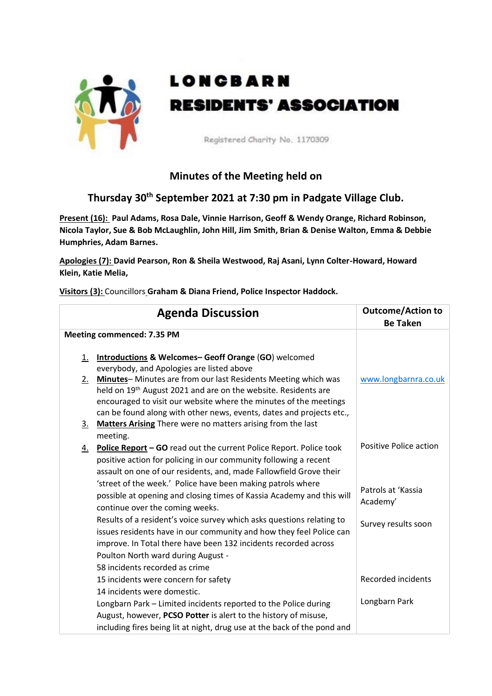

## **LONGBARN RESIDENTS' ASSOCIATION**

Registered Charity No. 1170309

## **Minutes of the Meeting held on**

## **Thursday 30th September 2021 at 7:30 pm in Padgate Village Club.**

**Present (16): Paul Adams, Rosa Dale, Vinnie Harrison, Geoff & Wendy Orange, Richard Robinson, Nicola Taylor, Sue & Bob McLaughlin, John Hill, Jim Smith, Brian & Denise Walton, Emma & Debbie Humphries, Adam Barnes.**

**Apologies (7): David Pearson, Ron & Sheila Westwood, Raj Asani, Lynn Colter-Howard, Howard Klein, Katie Melia,** 

**Visitors (3):** Councillors **Graham & Diana Friend, Police Inspector Haddock.**

|                                   | <b>Agenda Discussion</b>                                                                                                                                                                                                                        | <b>Outcome/Action to</b><br><b>Be Taken</b> |
|-----------------------------------|-------------------------------------------------------------------------------------------------------------------------------------------------------------------------------------------------------------------------------------------------|---------------------------------------------|
| <b>Meeting commenced: 7.35 PM</b> |                                                                                                                                                                                                                                                 |                                             |
| <u>1.</u><br>$2_{-}$              | Introductions & Welcomes-Geoff Orange (GO) welcomed<br>everybody, and Apologies are listed above<br>Minutes-Minutes are from our last Residents Meeting which was<br>held on 19 <sup>th</sup> August 2021 and are on the website. Residents are | www.longbarnra.co.uk                        |
| <u>3.</u>                         | encouraged to visit our website where the minutes of the meetings<br>can be found along with other news, events, dates and projects etc.,<br>Matters Arising There were no matters arising from the last                                        |                                             |
|                                   | meeting.                                                                                                                                                                                                                                        |                                             |
| 4.                                | <b>Police Report - GO</b> read out the current Police Report. Police took<br>positive action for policing in our community following a recent                                                                                                   | Positive Police action                      |
|                                   | assault on one of our residents, and, made Fallowfield Grove their                                                                                                                                                                              |                                             |
|                                   | 'street of the week.' Police have been making patrols where<br>possible at opening and closing times of Kassia Academy and this will<br>continue over the coming weeks.                                                                         | Patrols at 'Kassia<br>Academy'              |
|                                   | Results of a resident's voice survey which asks questions relating to<br>issues residents have in our community and how they feel Police can                                                                                                    | Survey results soon                         |
|                                   | improve. In Total there have been 132 incidents recorded across                                                                                                                                                                                 |                                             |
|                                   | Poulton North ward during August -                                                                                                                                                                                                              |                                             |
|                                   | 58 incidents recorded as crime                                                                                                                                                                                                                  |                                             |
|                                   | 15 incidents were concern for safety                                                                                                                                                                                                            | <b>Recorded incidents</b>                   |
|                                   | 14 incidents were domestic.<br>Longbarn Park - Limited incidents reported to the Police during                                                                                                                                                  | Longbarn Park                               |
|                                   | August, however, PCSO Potter is alert to the history of misuse,                                                                                                                                                                                 |                                             |
|                                   | including fires being lit at night, drug use at the back of the pond and                                                                                                                                                                        |                                             |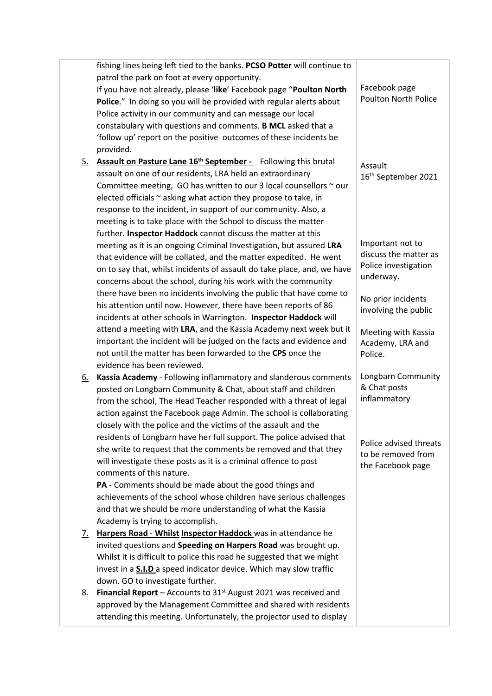|           | fishing lines being left tied to the banks. PCSO Potter will continue to   |                                              |
|-----------|----------------------------------------------------------------------------|----------------------------------------------|
|           | patrol the park on foot at every opportunity.                              |                                              |
|           | If you have not already, please 'like' Facebook page "Poulton North        | Facebook page<br><b>Poulton North Police</b> |
|           | Police." In doing so you will be provided with regular alerts about        |                                              |
|           | Police activity in our community and can message our local                 |                                              |
|           | constabulary with questions and comments. B MCL asked that a               |                                              |
|           | 'follow up' report on the positive outcomes of these incidents be          |                                              |
|           | provided.                                                                  |                                              |
| <u>5.</u> | Assault on Pasture Lane 16 <sup>th</sup> September - Following this brutal | Assault                                      |
|           | assault on one of our residents, LRA held an extraordinary                 | 16 <sup>th</sup> September 2021              |
|           | Committee meeting, GO has written to our 3 local counsellors $\sim$ our    |                                              |
|           | elected officials ~ asking what action they propose to take, in            |                                              |
|           | response to the incident, in support of our community. Also, a             |                                              |
|           | meeting is to take place with the School to discuss the matter             |                                              |
|           | further. Inspector Haddock cannot discuss the matter at this               |                                              |
|           | meeting as it is an ongoing Criminal Investigation, but assured LRA        | Important not to                             |
|           | that evidence will be collated, and the matter expedited. He went          | discuss the matter as                        |
|           | on to say that, whilst incidents of assault do take place, and, we have    | Police investigation                         |
|           | concerns about the school, during his work with the community              | underway.                                    |
|           | there have been no incidents involving the public that have come to        | No prior incidents                           |
|           | his attention until now. However, there have been reports of 86            | involving the public                         |
|           | incidents at other schools in Warrington. Inspector Haddock will           |                                              |
|           | attend a meeting with LRA, and the Kassia Academy next week but it         | Meeting with Kassia                          |
|           | important the incident will be judged on the facts and evidence and        | Academy, LRA and                             |
|           | not until the matter has been forwarded to the CPS once the                | Police.                                      |
|           | evidence has been reviewed.                                                |                                              |
| <u>6.</u> | Kassia Academy - Following inflammatory and slanderous comments            | Longbarn Community                           |
|           | posted on Longbarn Community & Chat, about staff and children              | & Chat posts                                 |
|           | from the school, The Head Teacher responded with a threat of legal         | inflammatory                                 |
|           | action against the Facebook page Admin. The school is collaborating        |                                              |
|           | closely with the police and the victims of the assault and the             |                                              |
|           | residents of Longbarn have her full support. The police advised that       | Police advised threats                       |
|           | she write to request that the comments be removed and that they            | to be removed from                           |
|           | will investigate these posts as it is a criminal offence to post           | the Facebook page                            |
|           | comments of this nature.                                                   |                                              |
|           | PA - Comments should be made about the good things and                     |                                              |
|           | achievements of the school whose children have serious challenges          |                                              |
|           | and that we should be more understanding of what the Kassia                |                                              |
|           | Academy is trying to accomplish.                                           |                                              |
| <u>7.</u> | Harpers Road - Whilst Inspector Haddock was in attendance he               |                                              |
|           | invited questions and Speeding on Harpers Road was brought up.             |                                              |
|           | Whilst it is difficult to police this road he suggested that we might      |                                              |
|           | invest in a <b>S.I.D</b> a speed indicator device. Which may slow traffic  |                                              |
|           | down. GO to investigate further.                                           |                                              |
| <u>8.</u> | <b>Financial Report</b> – Accounts to $31st$ August 2021 was received and  |                                              |
|           | approved by the Management Committee and shared with residents             |                                              |
|           | attending this meeting. Unfortunately, the projector used to display       |                                              |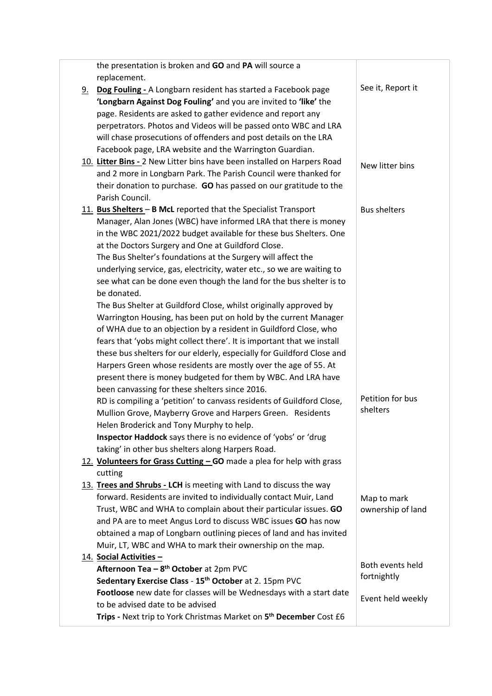|           | the presentation is broken and GO and PA will source a                         |                              |
|-----------|--------------------------------------------------------------------------------|------------------------------|
|           | replacement.                                                                   |                              |
| <u>9.</u> | Dog Fouling - A Longbarn resident has started a Facebook page                  | See it, Report it            |
|           | 'Longbarn Against Dog Fouling' and you are invited to 'like' the               |                              |
|           | page. Residents are asked to gather evidence and report any                    |                              |
|           | perpetrators. Photos and Videos will be passed onto WBC and LRA                |                              |
|           | will chase prosecutions of offenders and post details on the LRA               |                              |
|           | Facebook page, LRA website and the Warrington Guardian.                        |                              |
|           | 10. Litter Bins - 2 New Litter bins have been installed on Harpers Road        | New litter bins              |
|           | and 2 more in Longbarn Park. The Parish Council were thanked for               |                              |
|           | their donation to purchase. GO has passed on our gratitude to the              |                              |
|           | Parish Council.                                                                |                              |
|           | 11. Bus Shelters - B McL reported that the Specialist Transport                | <b>Bus shelters</b>          |
|           | Manager, Alan Jones (WBC) have informed LRA that there is money                |                              |
|           | in the WBC 2021/2022 budget available for these bus Shelters. One              |                              |
|           | at the Doctors Surgery and One at Guildford Close.                             |                              |
|           | The Bus Shelter's foundations at the Surgery will affect the                   |                              |
|           | underlying service, gas, electricity, water etc., so we are waiting to         |                              |
|           | see what can be done even though the land for the bus shelter is to            |                              |
|           | be donated.                                                                    |                              |
|           | The Bus Shelter at Guildford Close, whilst originally approved by              |                              |
|           | Warrington Housing, has been put on hold by the current Manager                |                              |
|           | of WHA due to an objection by a resident in Guildford Close, who               |                              |
|           | fears that 'yobs might collect there'. It is important that we install         |                              |
|           | these bus shelters for our elderly, especially for Guildford Close and         |                              |
|           | Harpers Green whose residents are mostly over the age of 55. At                |                              |
|           | present there is money budgeted for them by WBC. And LRA have                  |                              |
|           | been canvassing for these shelters since 2016.                                 |                              |
|           | RD is compiling a 'petition' to canvass residents of Guildford Close,          | Petition for bus<br>shelters |
|           | Mullion Grove, Mayberry Grove and Harpers Green. Residents                     |                              |
|           | Helen Broderick and Tony Murphy to help.                                       |                              |
|           | Inspector Haddock says there is no evidence of 'yobs' or 'drug                 |                              |
|           | taking' in other bus shelters along Harpers Road.                              |                              |
|           | 12. Volunteers for Grass Cutting - GO made a plea for help with grass          |                              |
|           | cutting                                                                        |                              |
|           | 13. Trees and Shrubs - LCH is meeting with Land to discuss the way             |                              |
|           | forward. Residents are invited to individually contact Muir, Land              | Map to mark                  |
|           | Trust, WBC and WHA to complain about their particular issues. GO               | ownership of land            |
|           | and PA are to meet Angus Lord to discuss WBC issues GO has now                 |                              |
|           | obtained a map of Longbarn outlining pieces of land and has invited            |                              |
|           | Muir, LT, WBC and WHA to mark their ownership on the map.                      |                              |
|           | 14. Social Activities -                                                        | Both events held             |
|           | Afternoon Tea - 8 <sup>th</sup> October at 2pm PVC                             | fortnightly                  |
|           | Sedentary Exercise Class - 15 <sup>th</sup> October at 2. 15pm PVC             |                              |
|           | Footloose new date for classes will be Wednesdays with a start date            | Event held weekly            |
|           | to be advised date to be advised                                               |                              |
|           | Trips - Next trip to York Christmas Market on 5 <sup>th</sup> December Cost £6 |                              |